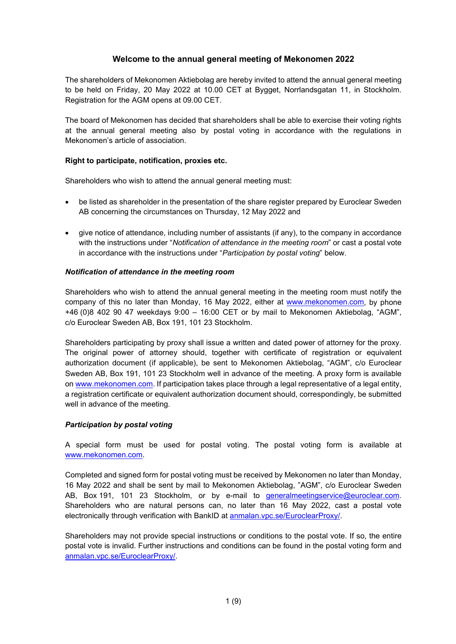# **Welcome to the annual general meeting of Mekonomen 2022**

The shareholders of Mekonomen Aktiebolag are hereby invited to attend the annual general meeting to be held on Friday, 20 May 2022 at 10.00 CET at Bygget, Norrlandsgatan 11, in Stockholm. Registration for the AGM opens at 09.00 CET.

The board of Mekonomen has decided that shareholders shall be able to exercise their voting rights at the annual general meeting also by postal voting in accordance with the regulations in Mekonomen's article of association.

## **Right to participate, notification, proxies etc.**

Shareholders who wish to attend the annual general meeting must:

- be listed as shareholder in the presentation of the share register prepared by Euroclear Sweden AB concerning the circumstances on Thursday, 12 May 2022 and
- give notice of attendance, including number of assistants (if any), to the company in accordance with the instructions under "*Notification of attendance in the meeting room*" or cast a postal vote in accordance with the instructions under "*Participation by postal voting*" below.

## *Notification of attendance in the meeting room*

Shareholders who wish to attend the annual general meeting in the meeting room must notify the company of this no later than Monday, 16 May 2022, either at [www.mekonomen.com,](http://www.mekonomen.com/) by phone +46 (0)8 402 90 47 weekdays 9:00 – 16:00 CET or by mail to Mekonomen Aktiebolag, "AGM", c/o Euroclear Sweden AB, Box 191, 101 23 Stockholm.

Shareholders participating by proxy shall issue a written and dated power of attorney for the proxy. The original power of attorney should, together with certificate of registration or equivalent authorization document (if applicable), be sent to Mekonomen Aktiebolag, "AGM", c/o Euroclear Sweden AB, Box 191, 101 23 Stockholm well in advance of the meeting. A proxy form is available o[n www.mekonomen.com.](http://www.mekonomen.com/) If participation takes place through a legal representative of a legal entity, a registration certificate or equivalent authorization document should, correspondingly, be submitted well in advance of the meeting.

### *Participation by postal voting*

A special form must be used for postal voting. The postal voting form is available at [www.mekonomen.com.](http://www.mekonomen.com/)

Completed and signed form for postal voting must be received by Mekonomen no later than Monday, 16 May 2022 and shall be sent by mail to Mekonomen Aktiebolag, "AGM", c/o Euroclear Sweden AB, Box 191, 101 23 Stockholm, or by e-mail to [generalmeetingservice@euroclear.com.](mailto:generalmeetingservice@euroclear.com) Shareholders who are natural persons can, no later than 16 May 2022, cast a postal vote electronically through verification with BankID at [anmalan.vpc.se/EuroclearProxy/.](https://anmalan.vpc.se/EuroclearProxy/)

Shareholders may not provide special instructions or conditions to the postal vote. If so, the entire postal vote is invalid. Further instructions and conditions can be found in the postal voting form and [anmalan.vpc.se/EuroclearProxy/.](https://anmalan.vpc.se/EuroclearProxy/)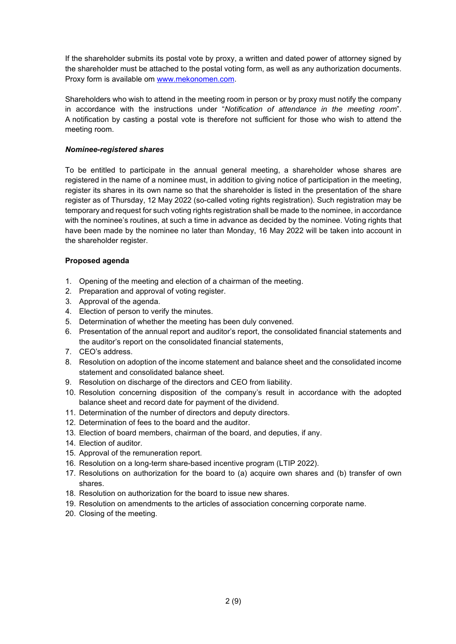If the shareholder submits its postal vote by proxy, a written and dated power of attorney signed by the shareholder must be attached to the postal voting form, as well as any authorization documents. Proxy form is available om [www.mekonomen.com.](http://www.mekonomen.com/)

Shareholders who wish to attend in the meeting room in person or by proxy must notify the company in accordance with the instructions under "*Notification of attendance in the meeting room*". A notification by casting a postal vote is therefore not sufficient for those who wish to attend the meeting room.

## *Nominee-registered shares*

To be entitled to participate in the annual general meeting, a shareholder whose shares are registered in the name of a nominee must, in addition to giving notice of participation in the meeting, register its shares in its own name so that the shareholder is listed in the presentation of the share register as of Thursday, 12 May 2022 (so-called voting rights registration). Such registration may be temporary and request for such voting rights registration shall be made to the nominee, in accordance with the nominee's routines, at such a time in advance as decided by the nominee. Voting rights that have been made by the nominee no later than Monday, 16 May 2022 will be taken into account in the shareholder register.

## **Proposed agenda**

- 1. Opening of the meeting and election of a chairman of the meeting.
- 2. Preparation and approval of voting register.
- 3. Approval of the agenda.
- 4. Election of person to verify the minutes.
- 5. Determination of whether the meeting has been duly convened.
- 6. Presentation of the annual report and auditor's report, the consolidated financial statements and the auditor's report on the consolidated financial statements,
- 7. CEO's address.
- 8. Resolution on adoption of the income statement and balance sheet and the consolidated income statement and consolidated balance sheet.
- 9. Resolution on discharge of the directors and CEO from liability.
- 10. Resolution concerning disposition of the company's result in accordance with the adopted balance sheet and record date for payment of the dividend.
- 11. Determination of the number of directors and deputy directors.
- 12. Determination of fees to the board and the auditor.
- 13. Election of board members, chairman of the board, and deputies, if any.
- 14. Election of auditor.
- 15. Approval of the remuneration report.
- 16. Resolution on a long-term share-based incentive program (LTIP 2022).
- 17. Resolutions on authorization for the board to (a) acquire own shares and (b) transfer of own shares.
- 18. Resolution on authorization for the board to issue new shares.
- 19. Resolution on amendments to the articles of association concerning corporate name.
- 20. Closing of the meeting.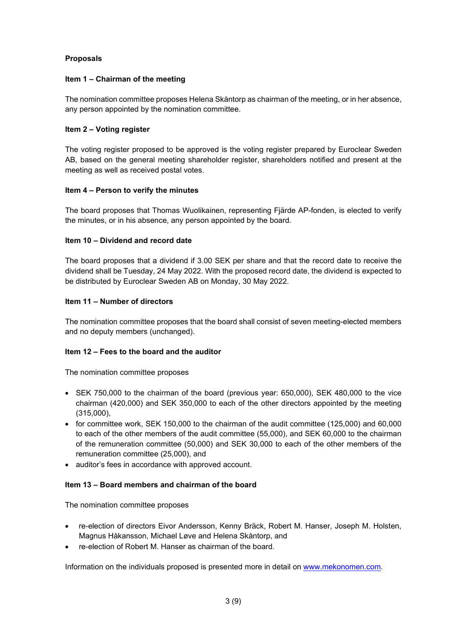## **Proposals**

## **Item 1 – Chairman of the meeting**

The nomination committee proposes Helena Skåntorp as chairman of the meeting, or in her absence, any person appointed by the nomination committee.

## **Item 2 – Voting register**

The voting register proposed to be approved is the voting register prepared by Euroclear Sweden AB, based on the general meeting shareholder register, shareholders notified and present at the meeting as well as received postal votes.

## **Item 4 – Person to verify the minutes**

The board proposes that Thomas Wuolikainen, representing Fjärde AP-fonden, is elected to verify the minutes, or in his absence, any person appointed by the board.

## **Item 10 – Dividend and record date**

The board proposes that a dividend if 3.00 SEK per share and that the record date to receive the dividend shall be Tuesday, 24 May 2022. With the proposed record date, the dividend is expected to be distributed by Euroclear Sweden AB on Monday, 30 May 2022.

## **Item 11 – Number of directors**

The nomination committee proposes that the board shall consist of seven meeting-elected members and no deputy members (unchanged).

### **Item 12 – Fees to the board and the auditor**

The nomination committee proposes

- SEK 750,000 to the chairman of the board (previous year: 650,000), SEK 480,000 to the vice chairman (420,000) and SEK 350,000 to each of the other directors appointed by the meeting (315,000),
- for committee work, SEK 150,000 to the chairman of the audit committee (125,000) and 60,000 to each of the other members of the audit committee (55,000), and SEK 60,000 to the chairman of the remuneration committee (50,000) and SEK 30,000 to each of the other members of the remuneration committee (25,000), and
- auditor's fees in accordance with approved account.

### **Item 13 – Board members and chairman of the board**

The nomination committee proposes

- re-election of directors Eivor Andersson, Kenny Bräck, Robert M. Hanser, Joseph M. Holsten, Magnus Håkansson, Michael Løve and Helena Skåntorp, and
- re-election of Robert M. Hanser as chairman of the board.

Information on the individuals proposed is presented more in detail on [www.mekonomen.com.](http://www.mekonomen.com/)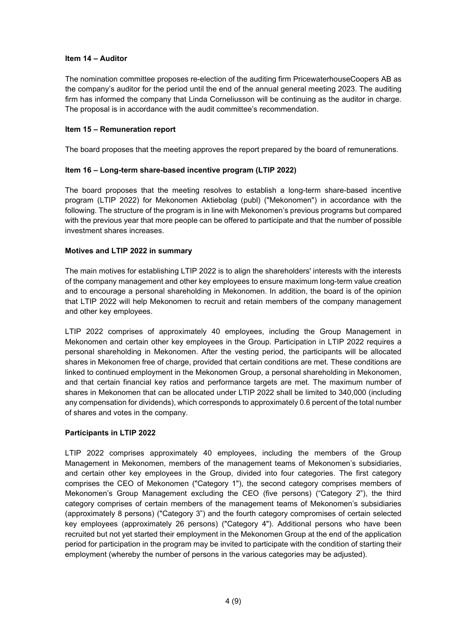### **Item 14 – Auditor**

The nomination committee proposes re-election of the auditing firm PricewaterhouseCoopers AB as the company's auditor for the period until the end of the annual general meeting 2023. The auditing firm has informed the company that Linda Corneliusson will be continuing as the auditor in charge. The proposal is in accordance with the audit committee's recommendation.

## **Item 15 – Remuneration report**

The board proposes that the meeting approves the report prepared by the board of remunerations.

## **Item 16 – Long-term share-based incentive program (LTIP 2022)**

The board proposes that the meeting resolves to establish a long-term share-based incentive program (LTIP 2022) for Mekonomen Aktiebolag (publ) ("Mekonomen") in accordance with the following. The structure of the program is in line with Mekonomen's previous programs but compared with the previous year that more people can be offered to participate and that the number of possible investment shares increases.

## **Motives and LTIP 2022 in summary**

The main motives for establishing LTIP 2022 is to align the shareholders' interests with the interests of the company management and other key employees to ensure maximum long-term value creation and to encourage a personal shareholding in Mekonomen. In addition, the board is of the opinion that LTIP 2022 will help Mekonomen to recruit and retain members of the company management and other key employees.

LTIP 2022 comprises of approximately 40 employees, including the Group Management in Mekonomen and certain other key employees in the Group. Participation in LTIP 2022 requires a personal shareholding in Mekonomen. After the vesting period, the participants will be allocated shares in Mekonomen free of charge, provided that certain conditions are met. These conditions are linked to continued employment in the Mekonomen Group, a personal shareholding in Mekonomen, and that certain financial key ratios and performance targets are met. The maximum number of shares in Mekonomen that can be allocated under LTIP 2022 shall be limited to 340,000 (including any compensation for dividends), which corresponds to approximately 0.6 percent of the total number of shares and votes in the company.

# **Participants in LTIP 2022**

LTIP 2022 comprises approximately 40 employees, including the members of the Group Management in Mekonomen, members of the management teams of Mekonomen's subsidiaries, and certain other key employees in the Group, divided into four categories. The first category comprises the CEO of Mekonomen ("Category 1"), the second category comprises members of Mekonomen's Group Management excluding the CEO (five persons) ("Category 2"), the third category comprises of certain members of the management teams of Mekonomen's subsidiaries (approximately 8 persons) ("Category 3") and the fourth category compromises of certain selected key employees (approximately 26 persons) ("Category 4"). Additional persons who have been recruited but not yet started their employment in the Mekonomen Group at the end of the application period for participation in the program may be invited to participate with the condition of starting their employment (whereby the number of persons in the various categories may be adjusted).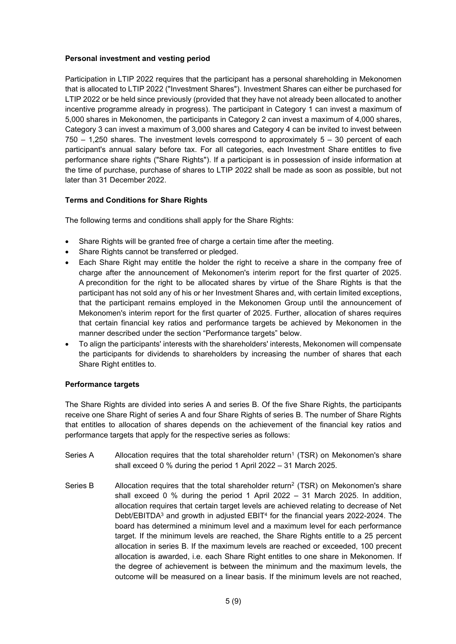## **Personal investment and vesting period**

Participation in LTIP 2022 requires that the participant has a personal shareholding in Mekonomen that is allocated to LTIP 2022 ("Investment Shares"). Investment Shares can either be purchased for LTIP 2022 or be held since previously (provided that they have not already been allocated to another incentive programme already in progress). The participant in Category 1 can invest a maximum of 5,000 shares in Mekonomen, the participants in Category 2 can invest a maximum of 4,000 shares, Category 3 can invest a maximum of 3,000 shares and Category 4 can be invited to invest between 750 – 1,250 shares. The investment levels correspond to approximately 5 – 30 percent of each participant's annual salary before tax. For all categories, each Investment Share entitles to five performance share rights ("Share Rights"). If a participant is in possession of inside information at the time of purchase, purchase of shares to LTIP 2022 shall be made as soon as possible, but not later than 31 December 2022.

# **Terms and Conditions for Share Rights**

The following terms and conditions shall apply for the Share Rights:

- Share Rights will be granted free of charge a certain time after the meeting.
- Share Rights cannot be transferred or pledged.
- Each Share Right may entitle the holder the right to receive a share in the company free of charge after the announcement of Mekonomen's interim report for the first quarter of 2025. A precondition for the right to be allocated shares by virtue of the Share Rights is that the participant has not sold any of his or her Investment Shares and, with certain limited exceptions, that the participant remains employed in the Mekonomen Group until the announcement of Mekonomen's interim report for the first quarter of 2025. Further, allocation of shares requires that certain financial key ratios and performance targets be achieved by Mekonomen in the manner described under the section "Performance targets" below.
- To align the participants' interests with the shareholders' interests, Mekonomen will compensate the participants for dividends to shareholders by increasing the number of shares that each Share Right entitles to.

### **Performance targets**

The Share Rights are divided into series A and series B. Of the five Share Rights, the participants receive one Share Right of series A and four Share Rights of series B. The number of Share Rights that entitles to allocation of shares depends on the achievement of the financial key ratios and performance targets that apply for the respective series as follows:

- Series A Allocation requires that the total shareholder return<sup>1</sup> (TSR) on Mekonomen's share shall exceed 0 % during the period 1 April 2022 – 31 March 2025.
- Series B Allocation requires that the total shareholder return<sup>2</sup> (TSR) on Mekonomen's share shall exceed 0 % during the period 1 April 2022 – 31 March 2025. In addition, allocation requires that certain target levels are achieved relating to decrease of Net Debt/EBITDA<sup>3</sup> and growth in adjusted EBIT<sup>4</sup> for the financial years 2022-2024. The board has determined a minimum level and a maximum level for each performance target. If the minimum levels are reached, the Share Rights entitle to a 25 percent allocation in series B. If the maximum levels are reached or exceeded, 100 precent allocation is awarded, i.e. each Share Right entitles to one share in Mekonomen. If the degree of achievement is between the minimum and the maximum levels, the outcome will be measured on a linear basis. If the minimum levels are not reached,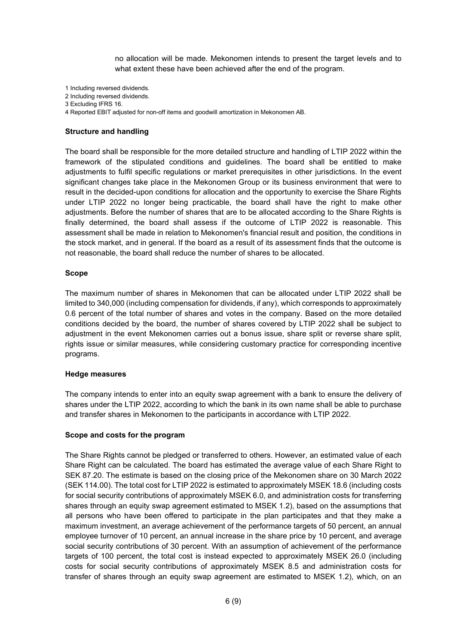no allocation will be made. Mekonomen intends to present the target levels and to what extent these have been achieved after the end of the program.

1 Including reversed dividends.

- 2 Including reversed dividends.
- 3 Excluding IFRS 16.
- 4 Reported EBIT adjusted for non-off items and goodwill amortization in Mekonomen AB.

### **Structure and handling**

The board shall be responsible for the more detailed structure and handling of LTIP 2022 within the framework of the stipulated conditions and guidelines. The board shall be entitled to make adjustments to fulfil specific regulations or market prerequisites in other jurisdictions. In the event significant changes take place in the Mekonomen Group or its business environment that were to result in the decided-upon conditions for allocation and the opportunity to exercise the Share Rights under LTIP 2022 no longer being practicable, the board shall have the right to make other adjustments. Before the number of shares that are to be allocated according to the Share Rights is finally determined, the board shall assess if the outcome of LTIP 2022 is reasonable. This assessment shall be made in relation to Mekonomen's financial result and position, the conditions in the stock market, and in general. If the board as a result of its assessment finds that the outcome is not reasonable, the board shall reduce the number of shares to be allocated.

#### **Scope**

The maximum number of shares in Mekonomen that can be allocated under LTIP 2022 shall be limited to 340,000 (including compensation for dividends, if any), which corresponds to approximately 0.6 percent of the total number of shares and votes in the company. Based on the more detailed conditions decided by the board, the number of shares covered by LTIP 2022 shall be subject to adjustment in the event Mekonomen carries out a bonus issue, share split or reverse share split, rights issue or similar measures, while considering customary practice for corresponding incentive programs.

### **Hedge measures**

The company intends to enter into an equity swap agreement with a bank to ensure the delivery of shares under the LTIP 2022, according to which the bank in its own name shall be able to purchase and transfer shares in Mekonomen to the participants in accordance with LTIP 2022.

### **Scope and costs for the program**

The Share Rights cannot be pledged or transferred to others. However, an estimated value of each Share Right can be calculated. The board has estimated the average value of each Share Right to SEK 87.20. The estimate is based on the closing price of the Mekonomen share on 30 March 2022 (SEK 114.00). The total cost for LTIP 2022 is estimated to approximately MSEK 18.6 (including costs for social security contributions of approximately MSEK 6.0, and administration costs for transferring shares through an equity swap agreement estimated to MSEK 1.2), based on the assumptions that all persons who have been offered to participate in the plan participates and that they make a maximum investment, an average achievement of the performance targets of 50 percent, an annual employee turnover of 10 percent, an annual increase in the share price by 10 percent, and average social security contributions of 30 percent. With an assumption of achievement of the performance targets of 100 percent, the total cost is instead expected to approximately MSEK 26.0 (including costs for social security contributions of approximately MSEK 8.5 and administration costs for transfer of shares through an equity swap agreement are estimated to MSEK 1.2), which, on an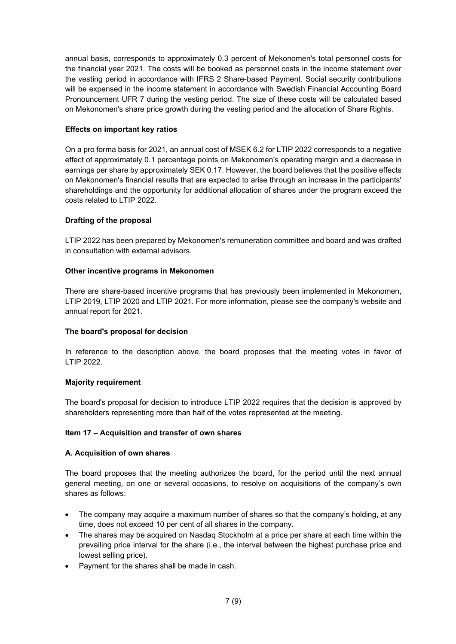annual basis, corresponds to approximately 0.3 percent of Mekonomen's total personnel costs for the financial year 2021. The costs will be booked as personnel costs in the income statement over the vesting period in accordance with IFRS 2 Share-based Payment. Social security contributions will be expensed in the income statement in accordance with Swedish Financial Accounting Board Pronouncement UFR 7 during the vesting period. The size of these costs will be calculated based on Mekonomen's share price growth during the vesting period and the allocation of Share Rights.

## **Effects on important key ratios**

On a pro forma basis for 2021, an annual cost of MSEK 6.2 for LTIP 2022 corresponds to a negative effect of approximately 0.1 percentage points on Mekonomen's operating margin and a decrease in earnings per share by approximately SEK 0.17. However, the board believes that the positive effects on Mekonomen's financial results that are expected to arise through an increase in the participants' shareholdings and the opportunity for additional allocation of shares under the program exceed the costs related to LTIP 2022.

# **Drafting of the proposal**

LTIP 2022 has been prepared by Mekonomen's remuneration committee and board and was drafted in consultation with external advisors.

## **Other incentive programs in Mekonomen**

There are share-based incentive programs that has previously been implemented in Mekonomen, LTIP 2019, LTIP 2020 and LTIP 2021. For more information, please see the company's website and annual report for 2021.

### **The board's proposal for decision**

In reference to the description above, the board proposes that the meeting votes in favor of LTIP 2022.

### **Majority requirement**

The board's proposal for decision to introduce LTIP 2022 requires that the decision is approved by shareholders representing more than half of the votes represented at the meeting.

### **Item 17 – Acquisition and transfer of own shares**

### **A. Acquisition of own shares**

The board proposes that the meeting authorizes the board, for the period until the next annual general meeting, on one or several occasions, to resolve on acquisitions of the company's own shares as follows:

- The company may acquire a maximum number of shares so that the company's holding, at any time, does not exceed 10 per cent of all shares in the company.
- The shares may be acquired on Nasdaq Stockholm at a price per share at each time within the prevailing price interval for the share (i.e., the interval between the highest purchase price and lowest selling price).
- Payment for the shares shall be made in cash.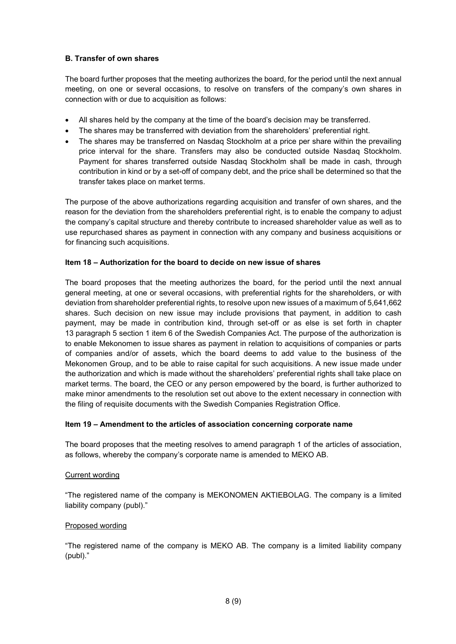## **B. Transfer of own shares**

The board further proposes that the meeting authorizes the board, for the period until the next annual meeting, on one or several occasions, to resolve on transfers of the company's own shares in connection with or due to acquisition as follows:

- All shares held by the company at the time of the board's decision may be transferred.
- The shares may be transferred with deviation from the shareholders' preferential right.
- The shares may be transferred on Nasdaq Stockholm at a price per share within the prevailing price interval for the share. Transfers may also be conducted outside Nasdaq Stockholm. Payment for shares transferred outside Nasdaq Stockholm shall be made in cash, through contribution in kind or by a set-off of company debt, and the price shall be determined so that the transfer takes place on market terms.

The purpose of the above authorizations regarding acquisition and transfer of own shares, and the reason for the deviation from the shareholders preferential right, is to enable the company to adjust the company's capital structure and thereby contribute to increased shareholder value as well as to use repurchased shares as payment in connection with any company and business acquisitions or for financing such acquisitions.

# **Item 18 – Authorization for the board to decide on new issue of shares**

The board proposes that the meeting authorizes the board, for the period until the next annual general meeting, at one or several occasions, with preferential rights for the shareholders, or with deviation from shareholder preferential rights, to resolve upon new issues of a maximum of 5,641,662 shares. Such decision on new issue may include provisions that payment, in addition to cash payment, may be made in contribution kind, through set-off or as else is set forth in chapter 13 paragraph 5 section 1 item 6 of the Swedish Companies Act. The purpose of the authorization is to enable Mekonomen to issue shares as payment in relation to acquisitions of companies or parts of companies and/or of assets, which the board deems to add value to the business of the Mekonomen Group, and to be able to raise capital for such acquisitions. A new issue made under the authorization and which is made without the shareholders' preferential rights shall take place on market terms. The board, the CEO or any person empowered by the board, is further authorized to make minor amendments to the resolution set out above to the extent necessary in connection with the filing of requisite documents with the Swedish Companies Registration Office.

# **Item 19 – Amendment to the articles of association concerning corporate name**

The board proposes that the meeting resolves to amend paragraph 1 of the articles of association, as follows, whereby the company's corporate name is amended to MEKO AB.

### Current wording

"The registered name of the company is MEKONOMEN AKTIEBOLAG. The company is a limited liability company (publ)."

# Proposed wording

"The registered name of the company is MEKO AB. The company is a limited liability company (publ)."